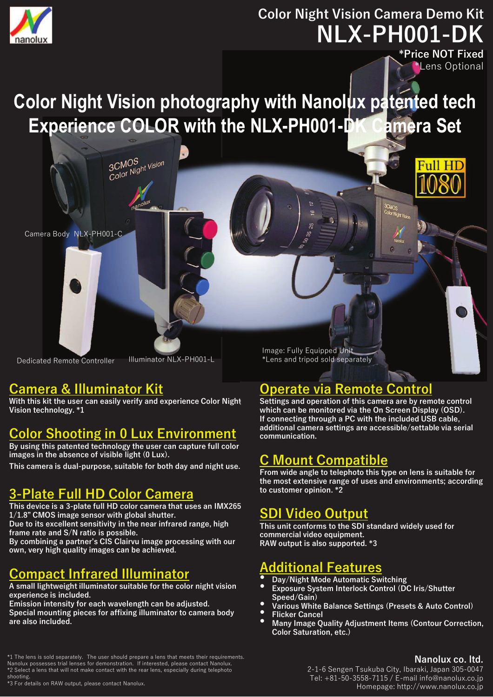

# **Color Night Vision Camera Demo Kit** NLX-PH001-DK

**\*Price NOT Fixed** Lens Optional

### **Color Night Vision photography with Nanolux patented tech** Experience COLOR with the NLX-PH001-DI amera Set

Camera Body NLX-PH001-C

Illuminator NLX-PH001-L **Dedicated Remote Controller** 

### **Camera & Illuminator Kit**

With this kit the user can easily verify and experience Color Night Vision technology. \*1

3CMOS<br>Color Night Vision

### **Color Shooting in 0 Lux Environment**

By using this patented technology the user can capture full color images in the absence of visible light (0 Lux).

This camera is dual-purpose, suitable for both day and night use.

### **3-Plate Full HD Color Camera**

This device is a 3-plate full HD color camera that uses an IMX265  $1/1.8$ " CMOS image sensor with global shutter. Due to its excellent sensitivity in the near infrared range, high

frame rate and S/N ratio is possible. By combining a partner's CIS Clairvu image processing with our

own, very high quality images can be achieved.

## **Compact Infrared Illuminator**

A small lightweight illuminator suitable for the color night vision experience is included.

Emission intensity for each wavelength can be adjusted. Special mounting pieces for affixing illuminator to camera body are also included.

\*1 The lens is sold separately. The user should prepare a lens that meets their requirements. Nanolux possesses trial lenses for demonstration. If interested, please contact Nanolux.<br>\*2 Select a lens that will not make contact with the rear lens, especially during telephoto

shooting.<br>\*3 For details on RAW output, please contact Nanolux

Image: Fully Equipped Unit \*Lens and tripod sold separately

## **Operate via Remote Control**

Settings and operation of this camera are by remote control which can be monitored via the On Screen Display (OSD). If connecting through a PC with the included USB cable, additional camera settings are accessible/settable via serial communication.

### **C Mount Compatible**

From wide angle to telephoto this type on lens is suitable for the most extensive range of uses and environments; according to customer opinion. \*2

### **SDI Video Output**

This unit conforms to the SDI standard widely used for commercial video equipment. RAW output is also supported. \*3

## dditional Features

- Day/Night Mode Automatic Switching
- Exposure System Interlock Control (DC Iris/Shutter Speed/Gain)
- Various White Balance Settings (Presets & Auto Control)
- **Flicker Cancel**
- Many Image Quality Adjustment Items (Contour Correction, Color Saturation, etc.)

#### Nanolux co. Itd.

2-1-6 Sengen Tsukuba City, Ibaraki, Japan 305-0047 Tel: +81-50-3558-7115 / E-mail info@nanolux.co.jp Homepage: http://www.nanolux.co.jp